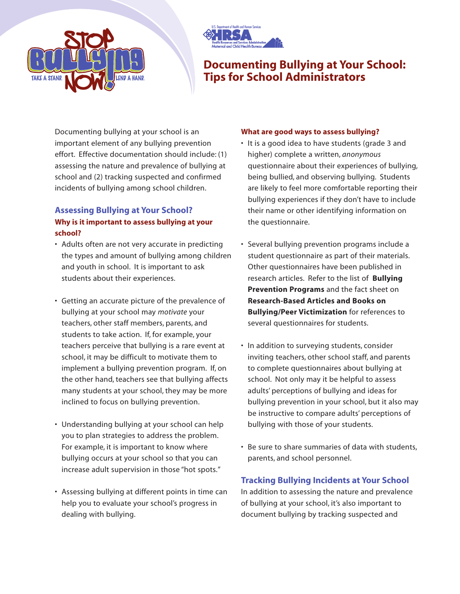



## **Documenting Bullying at Your School: Tips for School Administrators**

Documenting bullying at your school is an important element of any bullying prevention effort. Effective documentation should include: (1) assessing the nature and prevalence of bullying at school and (2) tracking suspected and confirmed incidents of bullying among school children.

## **Assessing Bullying at Your School? Why is it important to assess bullying at your school?**

- Adults often are not very accurate in predicting the types and amount of bullying among children and youth in school. It is important to ask students about their experiences.
- Getting an accurate picture of the prevalence of bullying at your school may *motivate* your teachers, other staff members, parents, and students to take action. If, for example, your teachers perceive that bullying is a rare event at school, it may be difficult to motivate them to implement a bullying prevention program. If, on the other hand, teachers see that bullying affects many students at your school, they may be more inclined to focus on bullying prevention.
- Understanding bullying at your school can help you to plan strategies to address the problem. For example, it is important to know where bullying occurs at your school so that you can increase adult supervision in those "hot spots."
- Assessing bullying at different points in time can help you to evaluate your school's progress in dealing with bullying.

## **What are good ways to assess bullying?**

- It is a good idea to have students (grade 3 and higher) complete a written, *anonymous* questionnaire about their experiences of bullying, being bullied, and observing bullying. Students are likely to feel more comfortable reporting their bullying experiences if they don't have to include their name or other identifying information on the questionnaire.
- Several bullying prevention programs include a student questionnaire as part of their materials. Other questionnaires have been published in research articles. Refer to the list of **Bullying Prevention Programs** and the fact sheet on **Research-Based Articles and Books on Bullying/Peer Victimization** for references to several questionnaires for students.
- In addition to surveying students, consider inviting teachers, other school staff, and parents to complete questionnaires about bullying at school. Not only may it be helpful to assess adults' perceptions of bullying and ideas for bullying prevention in your school, but it also may be instructive to compare adults' perceptions of bullying with those of your students.
- Be sure to share summaries of data with students, parents, and school personnel.

## **Tracking Bullying Incidents at Your School**

In addition to assessing the nature and prevalence of bullying at your school, it's also important to document bullying by tracking suspected and